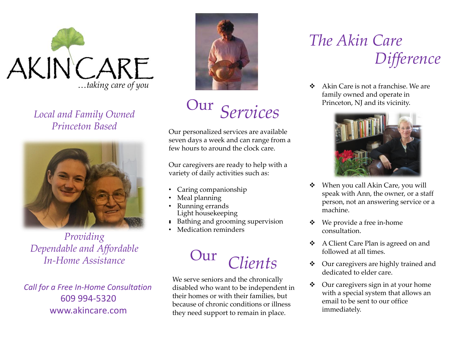

*Local and Family Owned Princeton Based*



*Providing Dependable and Affordable In-Home Assistance*

*Call for a Free In-Home Consultation* 609 994-5320 www.akincare.com



*Services* Our

Our personalized services are available seven days a week and can range from a few hours to around the clock care.

Our caregivers are ready to help with a variety of daily activities such as:

- Caring companionship
- Meal planning
- Running errands Light housekeeping
- • Bathing and grooming supervision
- Medication reminders

# *Clients* Our

We serve seniors and the chronically disabled who want to be independent in their homes or with their families, but because of chronic conditions or illness they need support to remain in place.

## *The Akin Care Difference*

 $\triangle$  Akin Care is not a franchise. We are family owned and operate in Princeton, NJ and its vicinity.



- ◆ When you call Akin Care, you will speak with Ann, the owner, or a staff person, not an answering service or a machine.
- $\div$  We provide a free in-home consultation.
- A Client Care Plan is agreed on and followed at all times.
- ◆ Our caregivers are highly trained and dedicated to elder care.
- $\triangleleft$  Our caregivers sign in at your home with a special system that allows an email to be sent to our office immediately.